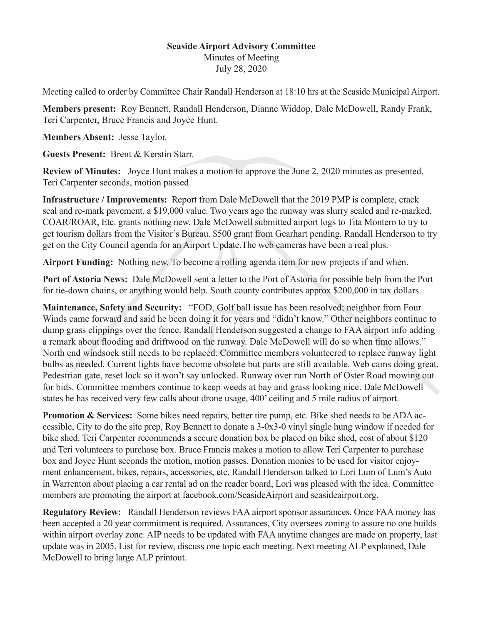## **Seaside Airport Advisory Committee**

Minutes of Meeting July 28, 2020

Meeting called to order by Committee Chair Randall Henderson at 18:10 hrs at the Seaside Municipal Airport.

**Members present:** Roy Bennett, Randall Henderson, Dianne Widdop, Dale McDowell, Randy Frank, Teri Carpenter, Bruce Francis and Joyce Hunt.

**Members Absent:** Jesse Taylor.

**Guests Present:** Brent & Kerstin Starr.

**Review of Minutes:** Joyce Hunt makes a motion to approve the June 2, 2020 minutes as presented, Teri Carpenter seconds, motion passed.

**Infrastructure / Improvements:** Report from Dale McDowell that the 2019 PMP is complete, crack seal and re-mark pavement, a \$19,000 value. Two years ago the runway was slurry sealed and re-marked. COAR/ROAR, Etc. grants nothing new. Dale McDowell submitted airport logs to Tita Montero to try to get tourism dollars from the Visitor's Bureau. \$500 grant from Gearhart pending. Randall Henderson to try get on the City Council agenda for an Airport Update.The web cameras have been a real plus.

**Airport Funding:** Nothing new. To become a rolling agenda item for new projects if and when.

**Port of Astoria News:** Dale McDowell sent a letter to the Port of Astoria for possible help from the Port for tie-down chains, or anything would help. South county contributes approx \$200,000 in tax dollars.

**Maintenance, Safety and Security:** "FOD, Golf ball issue has been resolved; neighbor from Four Winds came forward and said he been doing it for years and "didn't know." Other neighbors continue to dump grass clippings over the fence. Randall Henderson suggested a change to FAA airport info adding a remark about flooding and driftwood on the runway. Dale McDowell will do so when time allows." North end windsock still needs to be replaced. Committee members volunteered to replace runway light bulbs as needed. Current lights have become obsolete but parts are still available. Web cams doing great. Pedestrian gate, reset lock so it won't say unlocked. Runway over run North of Oster Road mowing out for bids. Committee members continue to keep weeds at bay and grass looking nice. Dale McDowell states he has received very few calls about drone usage, 400' ceiling and 5 mile radius of airport.

**Promotion & Services:** Some bikes need repairs, better tire pump, etc. Bike shed needs to be ADA accessible, City to do the site prep, Roy Bennett to donate a 3-0x3-0 vinyl single hung window if needed for bike shed. Teri Carpenter recommends a secure donation box be placed on bike shed, cost of about \$120 and Teri volunteers to purchase box. Bruce Francis makes a motion to allow Teri Carpenter to purchase box and Joyce Hunt seconds the motion, motion passes. Donation monies to be used for visitor enjoyment enhancement, bikes, repairs, accessories, etc. Randall Henderson talked to Lori Lum of Lum's Auto in Warrenton about placing a car rental ad on the reader board, Lori was pleased with the idea. Committee members are promoting the airport at facebook.com/SeasideAirport and seasideairport.org.

**Regulatory Review:** Randall Henderson reviews FAA airport sponsor assurances. Once FAA money has been accepted a 20 year commitment is required. Assurances, City oversees zoning to assure no one builds within airport overlay zone. AIP needs to be updated with FAA anytime changes are made on property, last update was in 2005. List for review, discuss one topic each meeting. Next meeting ALP explained, Dale McDowell to bring large ALP printout.